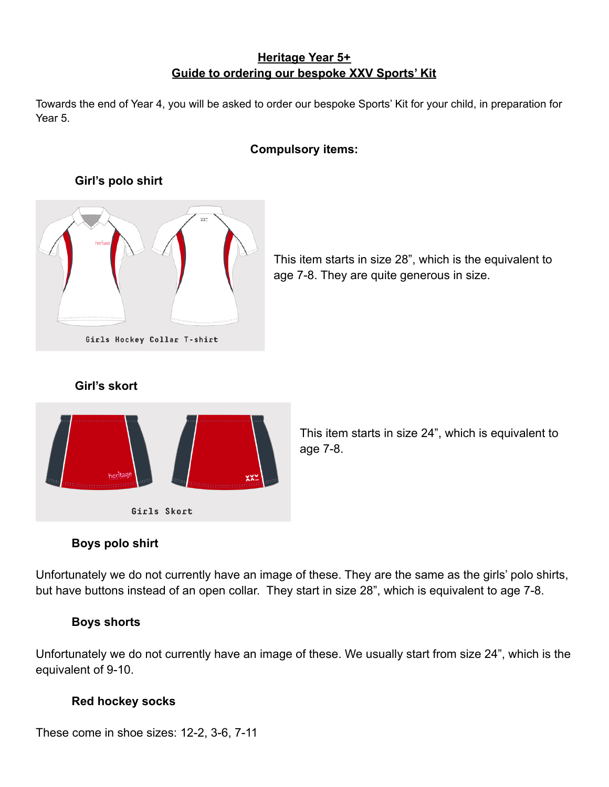# **Heritage Year 5+ Guide to ordering our bespoke XXV Sports' Kit**

Towards the end of Year 4, you will be asked to order our bespoke Sports' Kit for your child, in preparation for Year 5.

#### **Compulsory items:**

# Girls Hockey Collar T-shirt

**Girl's polo shirt**

This item starts in size 28", which is the equivalent to age 7-8. They are quite generous in size.

# **Girl's skort**



This item starts in size 24", which is equivalent to age 7-8.

# **Boys polo shirt**

Unfortunately we do not currently have an image of these. They are the same as the girls' polo shirts, but have buttons instead of an open collar. They start in size 28", which is equivalent to age 7-8.

#### **Boys shorts**

Unfortunately we do not currently have an image of these. We usually start from size 24", which is the equivalent of 9-10.

#### **Red hockey socks**

These come in shoe sizes: 12-2, 3-6, 7-11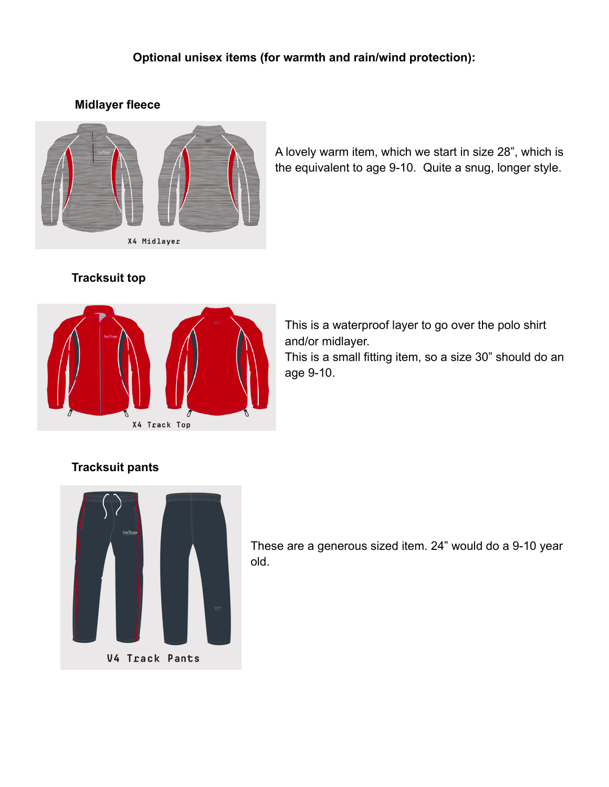# **Optional unisex items (for warmth and rain/wind protection):**

#### **Midlayer fleece**



A lovely warm item, which we start in size 28", which is the equivalent to age 9-10. Quite a snug, longer style.

## **Tracksuit top**



This is a waterproof layer to go over the polo shirt and/or midlayer. This is a small fitting item, so a size 30" should do an age 9-10.

## **Tracksuit pants**



These are a generous sized item. 24" would do a 9-10 year old.